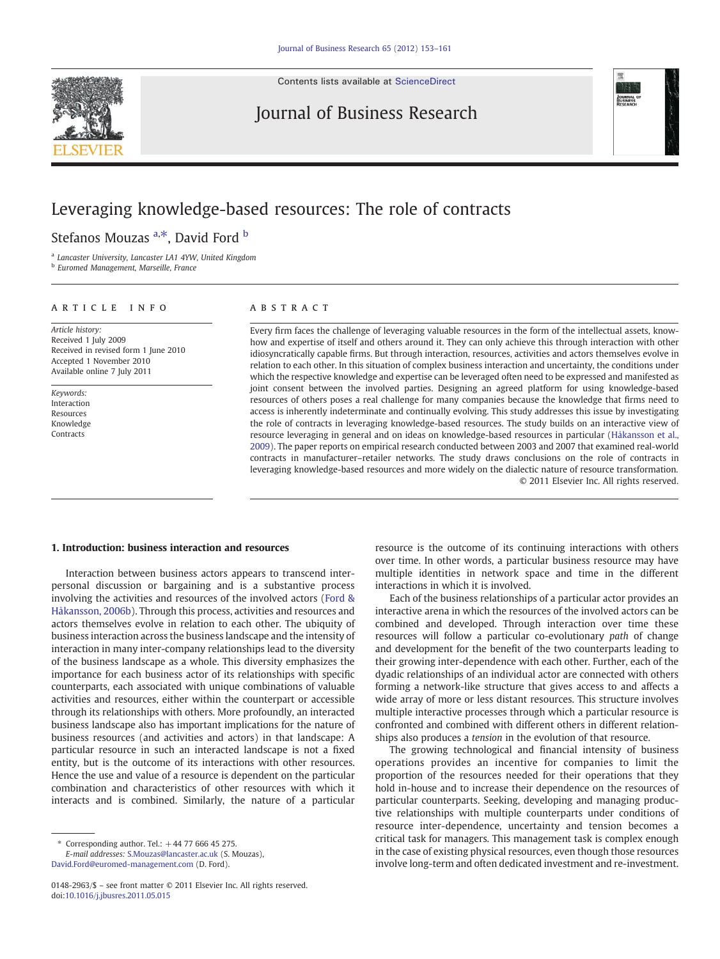Contents lists available at [ScienceDirect](http://www.sciencedirect.com/science/journal/01482963)

Journal of Business Research



# Leveraging knowledge-based resources: The role of contracts

## Stefanos Mouzas <sup>a,\*</sup>, David Ford <sup>b</sup>

<sup>a</sup> Lancaster University, Lancaster LA1 4YW, United Kingdom

<sup>b</sup> Euromed Management, Marseille, France

### article info abstract

Article history: Received 1 July 2009 Received in revised form 1 June 2010 Accepted 1 November 2010 Available online 7 July 2011

Keywords: Interaction Resources Knowledge Contracts

Every firm faces the challenge of leveraging valuable resources in the form of the intellectual assets, knowhow and expertise of itself and others around it. They can only achieve this through interaction with other idiosyncratically capable firms. But through interaction, resources, activities and actors themselves evolve in relation to each other. In this situation of complex business interaction and uncertainty, the conditions under which the respective knowledge and expertise can be leveraged often need to be expressed and manifested as joint consent between the involved parties. Designing an agreed platform for using knowledge-based resources of others poses a real challenge for many companies because the knowledge that firms need to access is inherently indeterminate and continually evolving. This study addresses this issue by investigating the role of contracts in leveraging knowledge-based resources. The study builds on an interactive view of resource leveraging in general and on ideas on knowledge-based resources in particular ([Håkansson et al.,](#page-8-0) [2009](#page-8-0)). The paper reports on empirical research conducted between 2003 and 2007 that examined real-world contracts in manufacturer–retailer networks. The study draws conclusions on the role of contracts in leveraging knowledge-based resources and more widely on the dialectic nature of resource transformation. © 2011 Elsevier Inc. All rights reserved.

#### 1. Introduction: business interaction and resources

Interaction between business actors appears to transcend interpersonal discussion or bargaining and is a substantive process involving the activities and resources of the involved actors ([Ford &](#page-8-0) [Håkansson, 2006b](#page-8-0)). Through this process, activities and resources and actors themselves evolve in relation to each other. The ubiquity of business interaction across the business landscape and the intensity of interaction in many inter-company relationships lead to the diversity of the business landscape as a whole. This diversity emphasizes the importance for each business actor of its relationships with specific counterparts, each associated with unique combinations of valuable activities and resources, either within the counterpart or accessible through its relationships with others. More profoundly, an interacted business landscape also has important implications for the nature of business resources (and activities and actors) in that landscape: A particular resource in such an interacted landscape is not a fixed entity, but is the outcome of its interactions with other resources. Hence the use and value of a resource is dependent on the particular combination and characteristics of other resources with which it interacts and is combined. Similarly, the nature of a particular

E-mail addresses: [S.Mouzas@lancaster.ac.uk](mailto:S.Mouzas@lancaster.ac.uk) (S. Mouzas), [David.Ford@euromed-management.com](mailto:David.Ford@euromed-management.com) (D. Ford).

resource is the outcome of its continuing interactions with others over time. In other words, a particular business resource may have multiple identities in network space and time in the different interactions in which it is involved.

Each of the business relationships of a particular actor provides an interactive arena in which the resources of the involved actors can be combined and developed. Through interaction over time these resources will follow a particular co-evolutionary path of change and development for the benefit of the two counterparts leading to their growing inter-dependence with each other. Further, each of the dyadic relationships of an individual actor are connected with others forming a network-like structure that gives access to and affects a wide array of more or less distant resources. This structure involves multiple interactive processes through which a particular resource is confronted and combined with different others in different relationships also produces a tension in the evolution of that resource.

The growing technological and financial intensity of business operations provides an incentive for companies to limit the proportion of the resources needed for their operations that they hold in-house and to increase their dependence on the resources of particular counterparts. Seeking, developing and managing productive relationships with multiple counterparts under conditions of resource inter-dependence, uncertainty and tension becomes a critical task for managers. This management task is complex enough in the case of existing physical resources, even though those resources involve long-term and often dedicated investment and re-investment.

Corresponding author. Tel.:  $+44$  77 666 45 275.

<sup>0148-2963/\$</sup> – see front matter © 2011 Elsevier Inc. All rights reserved. doi:[10.1016/j.jbusres.2011.05.015](http://dx.doi.org/10.1016/j.jbusres.2011.05.015)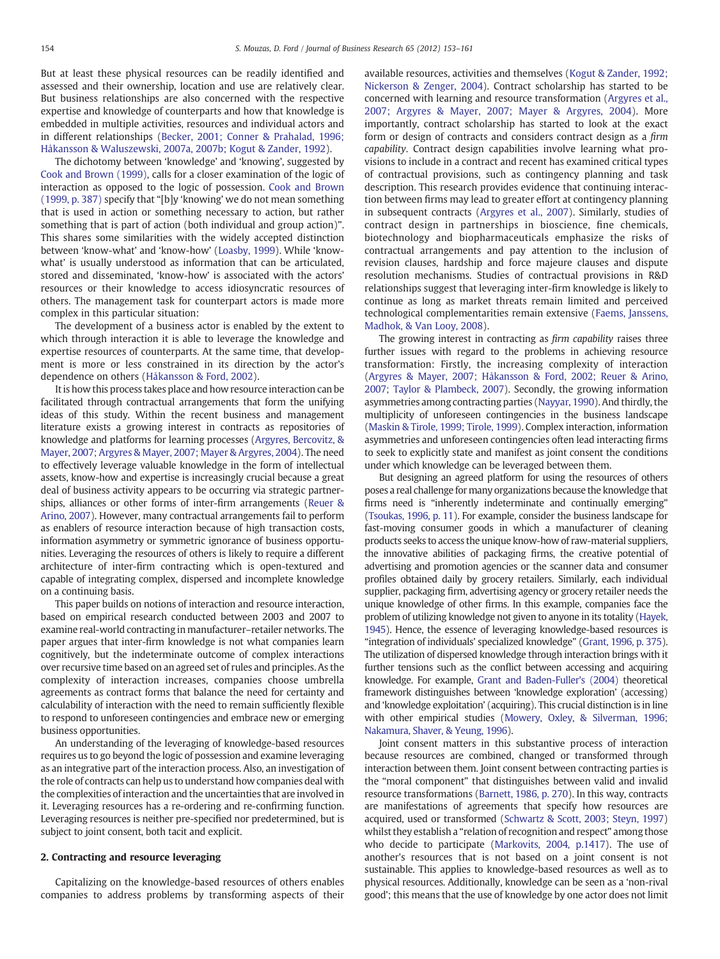But at least these physical resources can be readily identified and assessed and their ownership, location and use are relatively clear. But business relationships are also concerned with the respective expertise and knowledge of counterparts and how that knowledge is embedded in multiple activities, resources and individual actors and in different relationships ([Becker, 2001; Conner & Prahalad, 1996;](#page-7-0) [Håkansson & Waluszewski, 2007a, 2007b; Kogut & Zander, 1992\)](#page-7-0).

The dichotomy between 'knowledge' and 'knowing', suggested by [Cook and Brown \(1999\),](#page-7-0) calls for a closer examination of the logic of interaction as opposed to the logic of possession. [Cook and Brown](#page-7-0) [\(1999, p. 387\)](#page-7-0) specify that "[b]y 'knowing' we do not mean something that is used in action or something necessary to action, but rather something that is part of action (both individual and group action)". This shares some similarities with the widely accepted distinction between 'know-what' and 'know-how' ([Loasby, 1999\)](#page-8-0). While 'knowwhat' is usually understood as information that can be articulated, stored and disseminated, 'know-how' is associated with the actors' resources or their knowledge to access idiosyncratic resources of others. The management task for counterpart actors is made more complex in this particular situation:

The development of a business actor is enabled by the extent to which through interaction it is able to leverage the knowledge and expertise resources of counterparts. At the same time, that development is more or less constrained in its direction by the actor's dependence on others ([Håkansson & Ford, 2002](#page-8-0)).

It is how this process takes place and how resource interaction can be facilitated through contractual arrangements that form the unifying ideas of this study. Within the recent business and management literature exists a growing interest in contracts as repositories of knowledge and platforms for learning processes [\(Argyres, Bercovitz, &](#page-7-0) [Mayer, 2007; Argyres & Mayer, 2007; Mayer & Argyres, 2004\)](#page-7-0). The need to effectively leverage valuable knowledge in the form of intellectual assets, know-how and expertise is increasingly crucial because a great deal of business activity appears to be occurring via strategic partnerships, alliances or other forms of inter-firm arrangements [\(Reuer &](#page-8-0) [Arino, 2007\)](#page-8-0). However, many contractual arrangements fail to perform as enablers of resource interaction because of high transaction costs, information asymmetry or symmetric ignorance of business opportunities. Leveraging the resources of others is likely to require a different architecture of inter-firm contracting which is open-textured and capable of integrating complex, dispersed and incomplete knowledge on a continuing basis.

This paper builds on notions of interaction and resource interaction, based on empirical research conducted between 2003 and 2007 to examine real-world contracting in manufacturer–retailer networks. The paper argues that inter-firm knowledge is not what companies learn cognitively, but the indeterminate outcome of complex interactions over recursive time based on an agreed set of rules and principles. As the complexity of interaction increases, companies choose umbrella agreements as contract forms that balance the need for certainty and calculability of interaction with the need to remain sufficiently flexible to respond to unforeseen contingencies and embrace new or emerging business opportunities.

An understanding of the leveraging of knowledge-based resources requires us to go beyond the logic of possession and examine leveraging as an integrative part of the interaction process. Also, an investigation of the role of contracts can help us to understand how companies deal with the complexities of interaction and the uncertainties that are involved in it. Leveraging resources has a re-ordering and re-confirming function. Leveraging resources is neither pre-specified nor predetermined, but is subject to joint consent, both tacit and explicit.

### 2. Contracting and resource leveraging

Capitalizing on the knowledge-based resources of others enables companies to address problems by transforming aspects of their available resources, activities and themselves [\(Kogut & Zander, 1992;](#page-8-0) [Nickerson & Zenger, 2004\)](#page-8-0). Contract scholarship has started to be concerned with learning and resource transformation [\(Argyres et al.,](#page-7-0) [2007; Argyres & Mayer, 2007; Mayer & Argyres, 2004\)](#page-7-0). More importantly, contract scholarship has started to look at the exact form or design of contracts and considers contract design as a firm capability. Contract design capabilities involve learning what provisions to include in a contract and recent has examined critical types of contractual provisions, such as contingency planning and task description. This research provides evidence that continuing interaction between firms may lead to greater effort at contingency planning in subsequent contracts [\(Argyres et al., 2007](#page-7-0)). Similarly, studies of contract design in partnerships in bioscience, fine chemicals, biotechnology and biopharmaceuticals emphasize the risks of contractual arrangements and pay attention to the inclusion of revision clauses, hardship and force majeure clauses and dispute resolution mechanisms. Studies of contractual provisions in R&D relationships suggest that leveraging inter-firm knowledge is likely to continue as long as market threats remain limited and perceived technological complementarities remain extensive ([Faems, Janssens,](#page-8-0) [Madhok, & Van Looy, 2008\)](#page-8-0).

The growing interest in contracting as firm capability raises three further issues with regard to the problems in achieving resource transformation: Firstly, the increasing complexity of interaction [\(Argyres & Mayer, 2007; Håkansson & Ford, 2002; Reuer & Arino,](#page-7-0) [2007; Taylor & Plambeck, 2007](#page-7-0)). Secondly, the growing information asymmetries among contracting parties [\(Nayyar, 1990\)](#page-8-0). And thirdly, the multiplicity of unforeseen contingencies in the business landscape [\(Maskin & Tirole, 1999; Tirole, 1999](#page-8-0)). Complex interaction, information asymmetries and unforeseen contingencies often lead interacting firms to seek to explicitly state and manifest as joint consent the conditions under which knowledge can be leveraged between them.

But designing an agreed platform for using the resources of others poses a real challenge for many organizations because the knowledge that firms need is "inherently indeterminate and continually emerging" [\(Tsoukas, 1996, p. 11](#page-8-0)). For example, consider the business landscape for fast-moving consumer goods in which a manufacturer of cleaning products seeks to access the unique know-how of raw-material suppliers, the innovative abilities of packaging firms, the creative potential of advertising and promotion agencies or the scanner data and consumer profiles obtained daily by grocery retailers. Similarly, each individual supplier, packaging firm, advertising agency or grocery retailer needs the unique knowledge of other firms. In this example, companies face the problem of utilizing knowledge not given to anyone in its totality [\(Hayek,](#page-8-0) [1945](#page-8-0)). Hence, the essence of leveraging knowledge-based resources is "integration of individuals' specialized knowledge" [\(Grant, 1996, p. 375\)](#page-8-0). The utilization of dispersed knowledge through interaction brings with it further tensions such as the conflict between accessing and acquiring knowledge. For example, [Grant and Baden-Fuller's \(2004\)](#page-8-0) theoretical framework distinguishes between 'knowledge exploration' (accessing) and 'knowledge exploitation' (acquiring). This crucial distinction is in line with other empirical studies [\(Mowery, Oxley, & Silverman, 1996;](#page-8-0) [Nakamura, Shaver, & Yeung, 1996\)](#page-8-0).

Joint consent matters in this substantive process of interaction because resources are combined, changed or transformed through interaction between them. Joint consent between contracting parties is the "moral component" that distinguishes between valid and invalid resource transformations [\(Barnett, 1986, p. 270\)](#page-7-0). In this way, contracts are manifestations of agreements that specify how resources are acquired, used or transformed [\(Schwartz & Scott, 2003; Steyn, 1997](#page-8-0)) whilst they establish a "relation of recognition and respect" among those who decide to participate [\(Markovits, 2004, p.1417\)](#page-8-0). The use of another's resources that is not based on a joint consent is not sustainable. This applies to knowledge-based resources as well as to physical resources. Additionally, knowledge can be seen as a 'non-rival good'; this means that the use of knowledge by one actor does not limit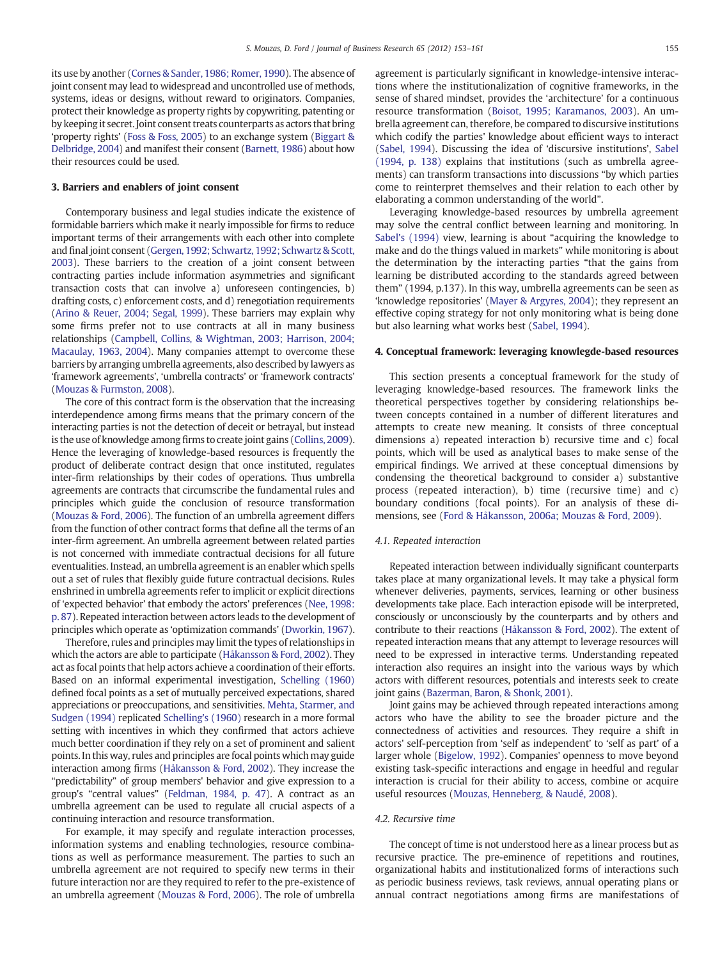its use by another ([Cornes & Sander, 1986; Romer, 1990\)](#page-7-0). The absence of joint consent may lead to widespread and uncontrolled use of methods, systems, ideas or designs, without reward to originators. Companies, protect their knowledge as property rights by copywriting, patenting or by keeping it secret. Joint consent treats counterparts as actors that bring 'property rights' ([Foss & Foss, 2005\)](#page-8-0) to an exchange system ([Biggart &](#page-7-0) [Delbridge, 2004](#page-7-0)) and manifest their consent [\(Barnett, 1986](#page-7-0)) about how their resources could be used.

#### 3. Barriers and enablers of joint consent

Contemporary business and legal studies indicate the existence of formidable barriers which make it nearly impossible for firms to reduce important terms of their arrangements with each other into complete and final joint consent ([Gergen, 1992; Schwartz, 1992; Schwartz & Scott,](#page-8-0) [2003](#page-8-0)). These barriers to the creation of a joint consent between contracting parties include information asymmetries and significant transaction costs that can involve a) unforeseen contingencies, b) drafting costs, c) enforcement costs, and d) renegotiation requirements [\(Arino & Reuer, 2004; Segal, 1999\)](#page-7-0). These barriers may explain why some firms prefer not to use contracts at all in many business relationships [\(Campbell, Collins, & Wightman, 2003; Harrison, 2004;](#page-7-0) [Macaulay, 1963, 2004\)](#page-7-0). Many companies attempt to overcome these barriers by arranging umbrella agreements, also described by lawyers as 'framework agreements', 'umbrella contracts' or 'framework contracts' [\(Mouzas & Furmston, 2008](#page-8-0)).

The core of this contract form is the observation that the increasing interdependence among firms means that the primary concern of the interacting parties is not the detection of deceit or betrayal, but instead is the use of knowledge among firms to create joint gains ([Collins, 2009](#page-7-0)). Hence the leveraging of knowledge-based resources is frequently the product of deliberate contract design that once instituted, regulates inter-firm relationships by their codes of operations. Thus umbrella agreements are contracts that circumscribe the fundamental rules and principles which guide the conclusion of resource transformation [\(Mouzas & Ford, 2006](#page-8-0)). The function of an umbrella agreement differs from the function of other contract forms that define all the terms of an inter-firm agreement. An umbrella agreement between related parties is not concerned with immediate contractual decisions for all future eventualities. Instead, an umbrella agreement is an enabler which spells out a set of rules that flexibly guide future contractual decisions. Rules enshrined in umbrella agreements refer to implicit or explicit directions of 'expected behavior' that embody the actors' preferences [\(Nee, 1998:](#page-8-0) [p. 87](#page-8-0)). Repeated interaction between actors leads to the development of principles which operate as 'optimization commands' [\(Dworkin, 1967](#page-7-0)).

Therefore, rules and principles may limit the types of relationships in which the actors are able to participate [\(Håkansson & Ford, 2002](#page-8-0)). They act as focal points that help actors achieve a coordination of their efforts. Based on an informal experimental investigation, [Schelling \(1960\)](#page-8-0) defined focal points as a set of mutually perceived expectations, shared appreciations or preoccupations, and sensitivities. [Mehta, Starmer, and](#page-8-0) [Sudgen \(1994\)](#page-8-0) replicated [Schelling's \(1960\)](#page-8-0) research in a more formal setting with incentives in which they confirmed that actors achieve much better coordination if they rely on a set of prominent and salient points. In this way, rules and principles are focal points which may guide interaction among firms [\(Håkansson & Ford, 2002\)](#page-8-0). They increase the "predictability" of group members' behavior and give expression to a group's "central values" [\(Feldman, 1984, p. 47](#page-8-0)). A contract as an umbrella agreement can be used to regulate all crucial aspects of a continuing interaction and resource transformation.

For example, it may specify and regulate interaction processes, information systems and enabling technologies, resource combinations as well as performance measurement. The parties to such an umbrella agreement are not required to specify new terms in their future interaction nor are they required to refer to the pre-existence of an umbrella agreement ([Mouzas & Ford, 2006](#page-8-0)). The role of umbrella

agreement is particularly significant in knowledge-intensive interactions where the institutionalization of cognitive frameworks, in the sense of shared mindset, provides the 'architecture' for a continuous resource transformation [\(Boisot, 1995; Karamanos, 2003\)](#page-7-0). An umbrella agreement can, therefore, be compared to discursive institutions which codify the parties' knowledge about efficient ways to interact [\(Sabel, 1994\)](#page-8-0). Discussing the idea of 'discursive institutions', [Sabel](#page-8-0) [\(1994, p. 138\)](#page-8-0) explains that institutions (such as umbrella agreements) can transform transactions into discussions "by which parties come to reinterpret themselves and their relation to each other by elaborating a common understanding of the world".

Leveraging knowledge-based resources by umbrella agreement may solve the central conflict between learning and monitoring. In [Sabel's \(1994\)](#page-8-0) view, learning is about "acquiring the knowledge to make and do the things valued in markets" while monitoring is about the determination by the interacting parties "that the gains from learning be distributed according to the standards agreed between them" (1994, p.137). In this way, umbrella agreements can be seen as 'knowledge repositories' [\(Mayer & Argyres, 2004\)](#page-8-0); they represent an effective coping strategy for not only monitoring what is being done but also learning what works best ([Sabel, 1994](#page-8-0)).

#### 4. Conceptual framework: leveraging knowlegde-based resources

This section presents a conceptual framework for the study of leveraging knowledge-based resources. The framework links the theoretical perspectives together by considering relationships between concepts contained in a number of different literatures and attempts to create new meaning. It consists of three conceptual dimensions a) repeated interaction b) recursive time and c) focal points, which will be used as analytical bases to make sense of the empirical findings. We arrived at these conceptual dimensions by condensing the theoretical background to consider a) substantive process (repeated interaction), b) time (recursive time) and c) boundary conditions (focal points). For an analysis of these dimensions, see [\(Ford & Håkansson, 2006a; Mouzas & Ford, 2009\)](#page-8-0).

#### 4.1. Repeated interaction

Repeated interaction between individually significant counterparts takes place at many organizational levels. It may take a physical form whenever deliveries, payments, services, learning or other business developments take place. Each interaction episode will be interpreted, consciously or unconsciously by the counterparts and by others and contribute to their reactions [\(Håkansson & Ford, 2002\)](#page-8-0). The extent of repeated interaction means that any attempt to leverage resources will need to be expressed in interactive terms. Understanding repeated interaction also requires an insight into the various ways by which actors with different resources, potentials and interests seek to create joint gains [\(Bazerman, Baron, & Shonk, 2001\)](#page-7-0).

Joint gains may be achieved through repeated interactions among actors who have the ability to see the broader picture and the connectedness of activities and resources. They require a shift in actors' self-perception from 'self as independent' to 'self as part' of a larger whole ([Bigelow, 1992](#page-7-0)). Companies' openness to move beyond existing task-specific interactions and engage in heedful and regular interaction is crucial for their ability to access, combine or acquire useful resources [\(Mouzas, Henneberg, & Naudé, 2008](#page-8-0)).

#### 4.2. Recursive time

The concept of time is not understood here as a linear process but as recursive practice. The pre-eminence of repetitions and routines, organizational habits and institutionalized forms of interactions such as periodic business reviews, task reviews, annual operating plans or annual contract negotiations among firms are manifestations of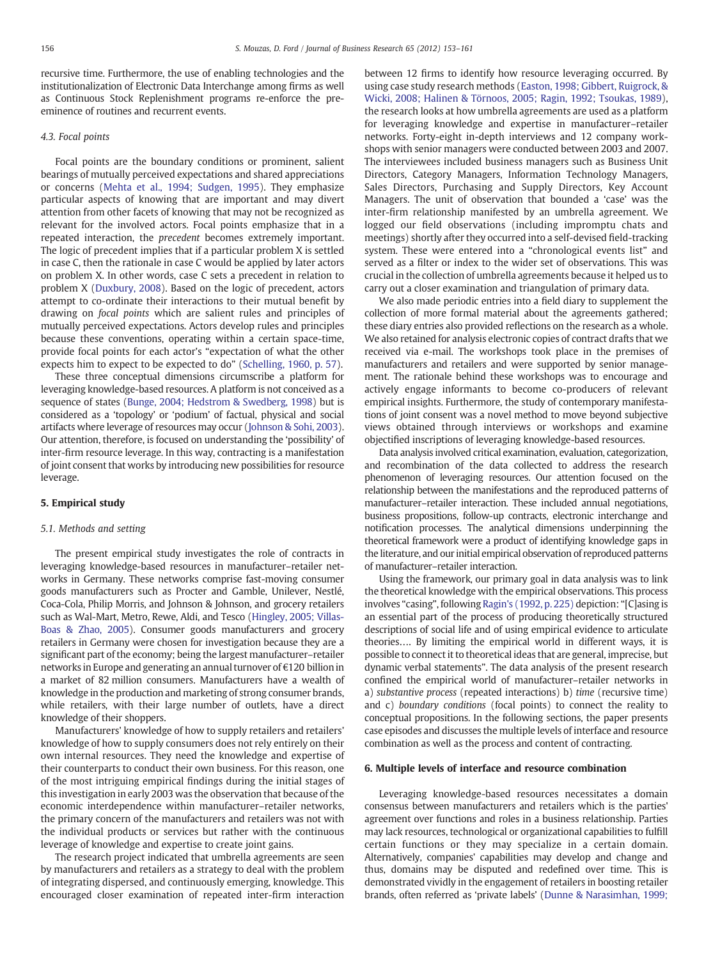recursive time. Furthermore, the use of enabling technologies and the institutionalization of Electronic Data Interchange among firms as well as Continuous Stock Replenishment programs re-enforce the preeminence of routines and recurrent events.

### 4.3. Focal points

Focal points are the boundary conditions or prominent, salient bearings of mutually perceived expectations and shared appreciations or concerns ([Mehta et al., 1994; Sudgen, 1995\)](#page-8-0). They emphasize particular aspects of knowing that are important and may divert attention from other facets of knowing that may not be recognized as relevant for the involved actors. Focal points emphasize that in a repeated interaction, the precedent becomes extremely important. The logic of precedent implies that if a particular problem X is settled in case C, then the rationale in case C would be applied by later actors on problem X. In other words, case C sets a precedent in relation to problem X ([Duxbury, 2008](#page-7-0)). Based on the logic of precedent, actors attempt to co-ordinate their interactions to their mutual benefit by drawing on focal points which are salient rules and principles of mutually perceived expectations. Actors develop rules and principles because these conventions, operating within a certain space-time, provide focal points for each actor's "expectation of what the other expects him to expect to be expected to do" ([Schelling, 1960, p. 57](#page-8-0)).

These three conceptual dimensions circumscribe a platform for leveraging knowledge-based resources. A platform is not conceived as a sequence of states [\(Bunge, 2004; Hedstrom & Swedberg, 1998\)](#page-7-0) but is considered as a 'topology' or 'podium' of factual, physical and social artifacts where leverage of resources may occur ([Johnson & Sohi, 2003\)](#page-8-0). Our attention, therefore, is focused on understanding the 'possibility' of inter-firm resource leverage. In this way, contracting is a manifestation of joint consent that works by introducing new possibilities for resource leverage.

#### 5. Empirical study

### 5.1. Methods and setting

The present empirical study investigates the role of contracts in leveraging knowledge-based resources in manufacturer–retailer networks in Germany. These networks comprise fast-moving consumer goods manufacturers such as Procter and Gamble, Unilever, Nestlé, Coca-Cola, Philip Morris, and Johnson & Johnson, and grocery retailers such as Wal-Mart, Metro, Rewe, Aldi, and Tesco [\(Hingley, 2005; Villas-](#page-8-0)[Boas & Zhao, 2005\)](#page-8-0). Consumer goods manufacturers and grocery retailers in Germany were chosen for investigation because they are a significant part of the economy; being the largest manufacturer–retailer networks in Europe and generating an annual turnover of €120 billion in a market of 82 million consumers. Manufacturers have a wealth of knowledge in the production and marketing of strong consumer brands, while retailers, with their large number of outlets, have a direct knowledge of their shoppers.

Manufacturers' knowledge of how to supply retailers and retailers' knowledge of how to supply consumers does not rely entirely on their own internal resources. They need the knowledge and expertise of their counterparts to conduct their own business. For this reason, one of the most intriguing empirical findings during the initial stages of this investigation in early 2003 was the observation that because of the economic interdependence within manufacturer–retailer networks, the primary concern of the manufacturers and retailers was not with the individual products or services but rather with the continuous leverage of knowledge and expertise to create joint gains.

The research project indicated that umbrella agreements are seen by manufacturers and retailers as a strategy to deal with the problem of integrating dispersed, and continuously emerging, knowledge. This encouraged closer examination of repeated inter-firm interaction between 12 firms to identify how resource leveraging occurred. By using case study research methods [\(Easton, 1998; Gibbert, Ruigrock, &](#page-8-0) [Wicki, 2008; Halinen & Törnoos, 2005; Ragin, 1992; Tsoukas, 1989](#page-8-0)), the research looks at how umbrella agreements are used as a platform for leveraging knowledge and expertise in manufacturer–retailer networks. Forty-eight in-depth interviews and 12 company workshops with senior managers were conducted between 2003 and 2007. The interviewees included business managers such as Business Unit Directors, Category Managers, Information Technology Managers, Sales Directors, Purchasing and Supply Directors, Key Account Managers. The unit of observation that bounded a 'case' was the inter-firm relationship manifested by an umbrella agreement. We logged our field observations (including impromptu chats and meetings) shortly after they occurred into a self-devised field-tracking system. These were entered into a "chronological events list" and served as a filter or index to the wider set of observations. This was crucial in the collection of umbrella agreements because it helped us to carry out a closer examination and triangulation of primary data.

We also made periodic entries into a field diary to supplement the collection of more formal material about the agreements gathered; these diary entries also provided reflections on the research as a whole. We also retained for analysis electronic copies of contract drafts that we received via e-mail. The workshops took place in the premises of manufacturers and retailers and were supported by senior management. The rationale behind these workshops was to encourage and actively engage informants to become co-producers of relevant empirical insights. Furthermore, the study of contemporary manifestations of joint consent was a novel method to move beyond subjective views obtained through interviews or workshops and examine objectified inscriptions of leveraging knowledge-based resources.

Data analysis involved critical examination, evaluation, categorization, and recombination of the data collected to address the research phenomenon of leveraging resources. Our attention focused on the relationship between the manifestations and the reproduced patterns of manufacturer–retailer interaction. These included annual negotiations, business propositions, follow-up contracts, electronic interchange and notification processes. The analytical dimensions underpinning the theoretical framework were a product of identifying knowledge gaps in the literature, and our initial empirical observation of reproduced patterns of manufacturer–retailer interaction.

Using the framework, our primary goal in data analysis was to link the theoretical knowledge with the empirical observations. This process involves "casing", following [Ragin's \(1992, p. 225\)](#page-8-0) depiction: "[C]asing is an essential part of the process of producing theoretically structured descriptions of social life and of using empirical evidence to articulate theories…. By limiting the empirical world in different ways, it is possible to connect it to theoretical ideas that are general, imprecise, but dynamic verbal statements". The data analysis of the present research confined the empirical world of manufacturer–retailer networks in a) substantive process (repeated interactions) b) time (recursive time) and c) boundary conditions (focal points) to connect the reality to conceptual propositions. In the following sections, the paper presents case episodes and discusses the multiple levels of interface and resource combination as well as the process and content of contracting.

#### 6. Multiple levels of interface and resource combination

Leveraging knowledge-based resources necessitates a domain consensus between manufacturers and retailers which is the parties' agreement over functions and roles in a business relationship. Parties may lack resources, technological or organizational capabilities to fulfill certain functions or they may specialize in a certain domain. Alternatively, companies' capabilities may develop and change and thus, domains may be disputed and redefined over time. This is demonstrated vividly in the engagement of retailers in boosting retailer brands, often referred as 'private labels' [\(Dunne & Narasimhan, 1999;](#page-7-0)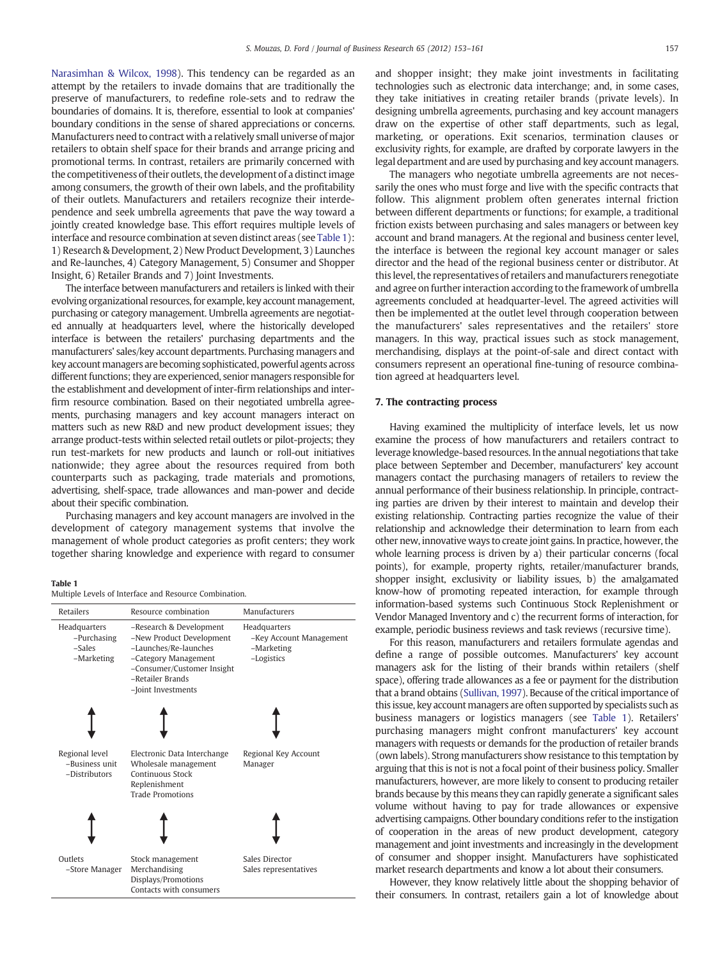[Narasimhan & Wilcox, 1998](#page-7-0)). This tendency can be regarded as an attempt by the retailers to invade domains that are traditionally the preserve of manufacturers, to redefine role-sets and to redraw the boundaries of domains. It is, therefore, essential to look at companies' boundary conditions in the sense of shared appreciations or concerns. Manufacturers need to contract with a relatively small universe of major retailers to obtain shelf space for their brands and arrange pricing and promotional terms. In contrast, retailers are primarily concerned with the competitiveness of their outlets, the development of a distinct image among consumers, the growth of their own labels, and the profitability of their outlets. Manufacturers and retailers recognize their interdependence and seek umbrella agreements that pave the way toward a jointly created knowledge base. This effort requires multiple levels of interface and resource combination at seven distinct areas (see Table 1): 1) Research & Development, 2) New Product Development, 3) Launches and Re-launches, 4) Category Management, 5) Consumer and Shopper Insight, 6) Retailer Brands and 7) Joint Investments.

The interface between manufacturers and retailers is linked with their evolving organizational resources, for example, key account management, purchasing or category management. Umbrella agreements are negotiated annually at headquarters level, where the historically developed interface is between the retailers' purchasing departments and the manufacturers' sales/key account departments. Purchasing managers and key account managers are becoming sophisticated, powerful agents across different functions; they are experienced, senior managers responsible for the establishment and development of inter-firm relationships and interfirm resource combination. Based on their negotiated umbrella agreements, purchasing managers and key account managers interact on matters such as new R&D and new product development issues; they arrange product-tests within selected retail outlets or pilot-projects; they run test-markets for new products and launch or roll-out initiatives nationwide; they agree about the resources required from both counterparts such as packaging, trade materials and promotions, advertising, shelf-space, trade allowances and man-power and decide about their specific combination.

Purchasing managers and key account managers are involved in the development of category management systems that involve the management of whole product categories as profit centers; they work together sharing knowledge and experience with regard to consumer

#### Table 1

Multiple Levels of Interface and Resource Combination.

| <b>Retailers</b>                                    | Resource combination                                                                                                                                                         | Manufacturers                                                       |
|-----------------------------------------------------|------------------------------------------------------------------------------------------------------------------------------------------------------------------------------|---------------------------------------------------------------------|
| Headquarters<br>-Purchasing<br>-Sales<br>-Marketing | -Research & Development<br>-New Product Development<br>-Launches/Re-launches<br>-Category Management<br>-Consumer/Customer Insight<br>-Retailer Brands<br>-Joint Investments | Headquarters<br>-Key Account Management<br>-Marketing<br>-Logistics |
| Regional level<br>-Business unit<br>-Distributors   | Electronic Data Interchange<br>Wholesale management<br>Continuous Stock<br>Replenishment<br><b>Trade Promotions</b>                                                          | Regional Key Account<br>Manager                                     |
|                                                     |                                                                                                                                                                              |                                                                     |
| Outlets<br>-Store Manager                           | Stock management<br>Merchandising<br>Displays/Promotions<br>Contacts with consumers                                                                                          | Sales Director<br>Sales representatives                             |

and shopper insight; they make joint investments in facilitating technologies such as electronic data interchange; and, in some cases, they take initiatives in creating retailer brands (private levels). In designing umbrella agreements, purchasing and key account managers draw on the expertise of other staff departments, such as legal, marketing, or operations. Exit scenarios, termination clauses or exclusivity rights, for example, are drafted by corporate lawyers in the legal department and are used by purchasing and key account managers.

The managers who negotiate umbrella agreements are not necessarily the ones who must forge and live with the specific contracts that follow. This alignment problem often generates internal friction between different departments or functions; for example, a traditional friction exists between purchasing and sales managers or between key account and brand managers. At the regional and business center level, the interface is between the regional key account manager or sales director and the head of the regional business center or distributor. At this level, the representatives of retailers and manufacturers renegotiate and agree on further interaction according to the framework of umbrella agreements concluded at headquarter-level. The agreed activities will then be implemented at the outlet level through cooperation between the manufacturers' sales representatives and the retailers' store managers. In this way, practical issues such as stock management, merchandising, displays at the point-of-sale and direct contact with consumers represent an operational fine-tuning of resource combination agreed at headquarters level.

### 7. The contracting process

Having examined the multiplicity of interface levels, let us now examine the process of how manufacturers and retailers contract to leverage knowledge-based resources. In the annual negotiations that take place between September and December, manufacturers' key account managers contact the purchasing managers of retailers to review the annual performance of their business relationship. In principle, contracting parties are driven by their interest to maintain and develop their existing relationship. Contracting parties recognize the value of their relationship and acknowledge their determination to learn from each other new, innovative ways to create joint gains. In practice, however, the whole learning process is driven by a) their particular concerns (focal points), for example, property rights, retailer/manufacturer brands, shopper insight, exclusivity or liability issues, b) the amalgamated know-how of promoting repeated interaction, for example through information-based systems such Continuous Stock Replenishment or Vendor Managed Inventory and c) the recurrent forms of interaction, for example, periodic business reviews and task reviews (recursive time).

For this reason, manufacturers and retailers formulate agendas and define a range of possible outcomes. Manufacturers' key account managers ask for the listing of their brands within retailers (shelf space), offering trade allowances as a fee or payment for the distribution that a brand obtains ([Sullivan, 1997\)](#page-8-0). Because of the critical importance of this issue, key account managers are often supported by specialists such as business managers or logistics managers (see Table 1). Retailers' purchasing managers might confront manufacturers' key account managers with requests or demands for the production of retailer brands (own labels). Strong manufacturers show resistance to this temptation by arguing that this is not is not a focal point of their business policy. Smaller manufacturers, however, are more likely to consent to producing retailer brands because by this means they can rapidly generate a significant sales volume without having to pay for trade allowances or expensive advertising campaigns. Other boundary conditions refer to the instigation of cooperation in the areas of new product development, category management and joint investments and increasingly in the development of consumer and shopper insight. Manufacturers have sophisticated market research departments and know a lot about their consumers.

However, they know relatively little about the shopping behavior of their consumers. In contrast, retailers gain a lot of knowledge about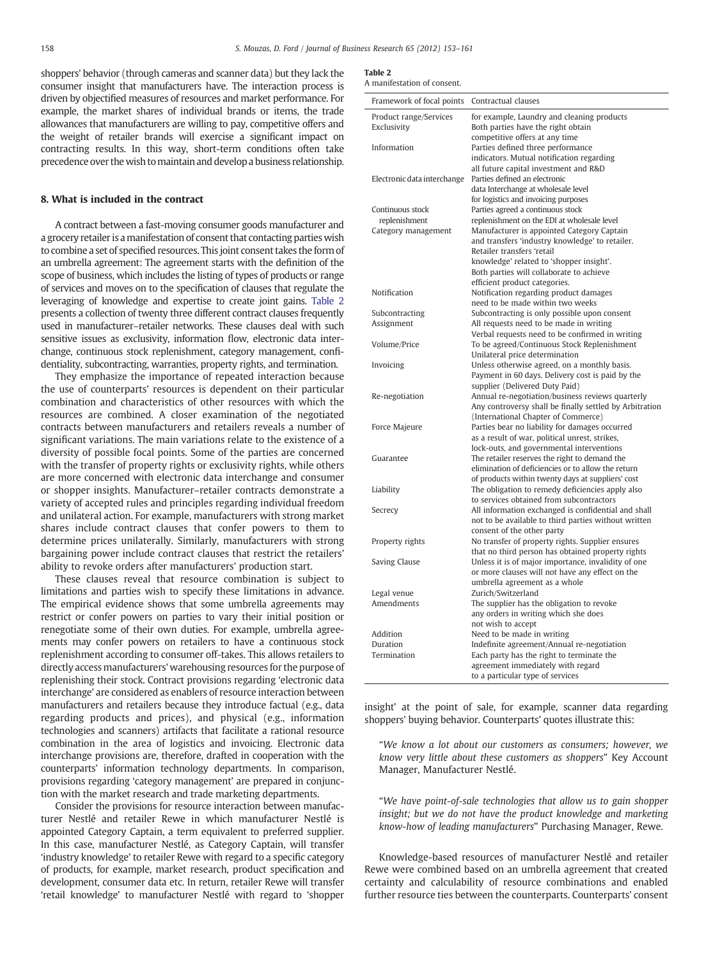<span id="page-5-0"></span>shoppers' behavior (through cameras and scanner data) but they lack the consumer insight that manufacturers have. The interaction process is driven by objectified measures of resources and market performance. For example, the market shares of individual brands or items, the trade allowances that manufacturers are willing to pay, competitive offers and the weight of retailer brands will exercise a significant impact on contracting results. In this way, short-term conditions often take precedence over the wish to maintain and develop a business relationship.

#### 8. What is included in the contract

A contract between a fast-moving consumer goods manufacturer and a grocery retailer is a manifestation of consent that contacting parties wish to combine a set of specified resources. This joint consent takes the form of an umbrella agreement: The agreement starts with the definition of the scope of business, which includes the listing of types of products or range of services and moves on to the specification of clauses that regulate the leveraging of knowledge and expertise to create joint gains. Table 2 presents a collection of twenty three different contract clauses frequently used in manufacturer–retailer networks. These clauses deal with such sensitive issues as exclusivity, information flow, electronic data interchange, continuous stock replenishment, category management, confidentiality, subcontracting, warranties, property rights, and termination.

They emphasize the importance of repeated interaction because the use of counterparts' resources is dependent on their particular combination and characteristics of other resources with which the resources are combined. A closer examination of the negotiated contracts between manufacturers and retailers reveals a number of significant variations. The main variations relate to the existence of a diversity of possible focal points. Some of the parties are concerned with the transfer of property rights or exclusivity rights, while others are more concerned with electronic data interchange and consumer or shopper insights. Manufacturer–retailer contracts demonstrate a variety of accepted rules and principles regarding individual freedom and unilateral action. For example, manufacturers with strong market shares include contract clauses that confer powers to them to determine prices unilaterally. Similarly, manufacturers with strong bargaining power include contract clauses that restrict the retailers' ability to revoke orders after manufacturers' production start.

These clauses reveal that resource combination is subject to limitations and parties wish to specify these limitations in advance. The empirical evidence shows that some umbrella agreements may restrict or confer powers on parties to vary their initial position or renegotiate some of their own duties. For example, umbrella agreements may confer powers on retailers to have a continuous stock replenishment according to consumer off-takes. This allows retailers to directly access manufacturers' warehousing resources for the purpose of replenishing their stock. Contract provisions regarding 'electronic data interchange' are considered as enablers of resource interaction between manufacturers and retailers because they introduce factual (e.g., data regarding products and prices), and physical (e.g., information technologies and scanners) artifacts that facilitate a rational resource combination in the area of logistics and invoicing. Electronic data interchange provisions are, therefore, drafted in cooperation with the counterparts' information technology departments. In comparison, provisions regarding 'category management' are prepared in conjunction with the market research and trade marketing departments.

Consider the provisions for resource interaction between manufacturer Nestlé and retailer Rewe in which manufacturer Nestlé is appointed Category Captain, a term equivalent to preferred supplier. In this case, manufacturer Nestlé, as Category Captain, will transfer 'industry knowledge' to retailer Rewe with regard to a specific category of products, for example, market research, product specification and development, consumer data etc. In return, retailer Rewe will transfer 'retail knowledge' to manufacturer Nestlé with regard to 'shopper

| A manifestation of consent. |  |                                                                                      |
|-----------------------------|--|--------------------------------------------------------------------------------------|
| Framework of focal points   |  | Contractual clauses                                                                  |
| Product range/Services      |  | for example, Laundry and cleaning products                                           |
| Exclusivity                 |  | Both parties have the right obtain                                                   |
|                             |  | competitive offers at any time                                                       |
| Information                 |  | Parties defined three performance                                                    |
|                             |  | indicators. Mutual notification regarding                                            |
|                             |  | all future capital investment and R&D                                                |
| Electronic data interchange |  | Parties defined an electronic                                                        |
|                             |  | data Interchange at wholesale level                                                  |
|                             |  | for logistics and invoicing purposes                                                 |
| Continuous stock            |  | Parties agreed a continuous stock                                                    |
| replenishment               |  | replenishment on the EDI at wholesale level                                          |
| Category management         |  | Manufacturer is appointed Category Captain                                           |
|                             |  | and transfers 'industry knowledge' to retailer.<br>Retailer transfers 'retail        |
|                             |  |                                                                                      |
|                             |  | knowledge' related to 'shopper insight'.<br>Both parties will collaborate to achieve |
|                             |  | efficient product categories.                                                        |
| Notification                |  | Notification regarding product damages                                               |
|                             |  | need to be made within two weeks                                                     |
| Subcontracting              |  | Subcontracting is only possible upon consent                                         |
| Assignment                  |  | All requests need to be made in writing                                              |
|                             |  | Verbal requests need to be confirmed in writing                                      |
| Volume/Price                |  | To be agreed/Continuous Stock Replenishment                                          |
|                             |  | Unilateral price determination                                                       |
| Invoicing                   |  | Unless otherwise agreed, on a monthly basis.                                         |
|                             |  | Payment in 60 days. Delivery cost is paid by the                                     |
|                             |  | supplier (Delivered Duty Paid)                                                       |
| Re-negotiation              |  | Annual re-negotiation/business reviews quarterly                                     |
|                             |  | Any controversy shall be finally settled by Arbitration                              |
|                             |  | (International Chapter of Commerce)                                                  |
| Force Majeure               |  | Parties bear no liability for damages occurred                                       |
|                             |  | as a result of war, political unrest, strikes,                                       |
|                             |  | lock-outs, and governmental interventions                                            |
| Guarantee                   |  | The retailer reserves the right to demand the                                        |
|                             |  | elimination of deficiencies or to allow the return                                   |
|                             |  | of products within twenty days at suppliers' cost                                    |
| Liability                   |  | The obligation to remedy deficiencies apply also                                     |
|                             |  | to services obtained from subcontractors                                             |
| Secrecy                     |  | All information exchanged is confidential and shall                                  |
|                             |  | not to be available to third parties without written                                 |
|                             |  | consent of the other party                                                           |
| Property rights             |  | No transfer of property rights. Supplier ensures                                     |
|                             |  | that no third person has obtained property rights                                    |
| Saving Clause               |  | Unless it is of major importance, invalidity of one                                  |
|                             |  | or more clauses will not have any effect on the                                      |
|                             |  | umbrella agreement as a whole                                                        |
| Legal venue                 |  | Zurich/Switzerland                                                                   |
| Amendments                  |  | The supplier has the obligation to revoke                                            |
|                             |  | any orders in writing which she does                                                 |
|                             |  | not wish to accept                                                                   |
| Addition                    |  | Need to be made in writing                                                           |
| Duration                    |  | Indefinite agreement/Annual re-negotiation                                           |
| Termination                 |  | Each party has the right to terminate the                                            |
|                             |  | agreement immediately with regard                                                    |
|                             |  | to a particular type of services                                                     |

insight' at the point of sale, for example, scanner data regarding shoppers' buying behavior. Counterparts' quotes illustrate this:

"We know a lot about our customers as consumers; however, we know very little about these customers as shoppers" Key Account Manager, Manufacturer Nestlé.

"We have point-of-sale technologies that allow us to gain shopper insight; but we do not have the product knowledge and marketing know-how of leading manufacturers" Purchasing Manager, Rewe.

Knowledge-based resources of manufacturer Nestlé and retailer Rewe were combined based on an umbrella agreement that created certainty and calculability of resource combinations and enabled further resource ties between the counterparts. Counterparts' consent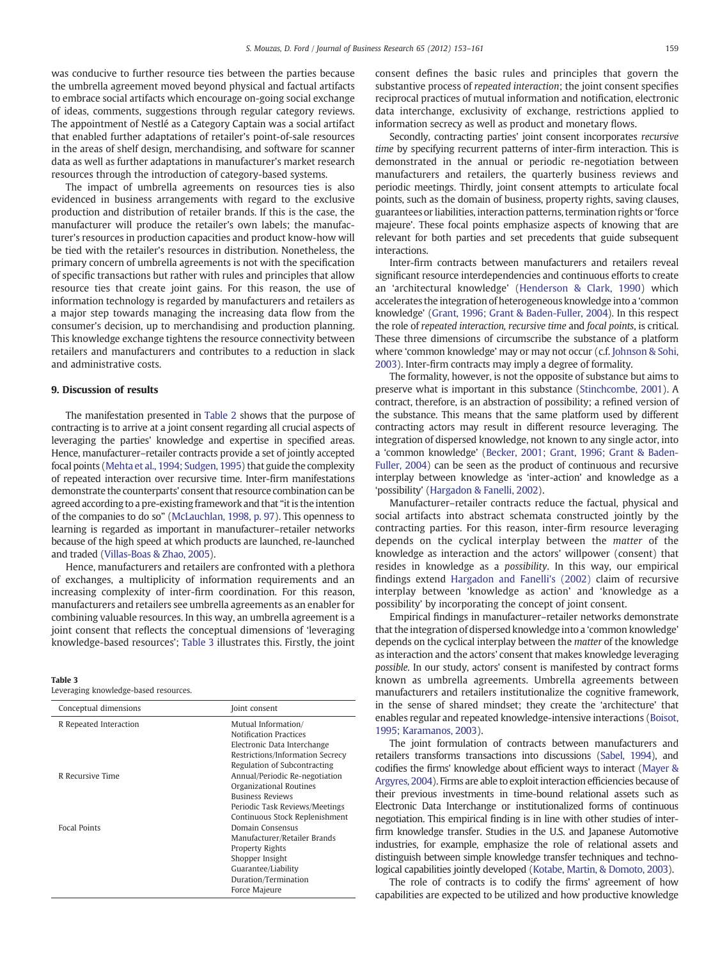was conducive to further resource ties between the parties because the umbrella agreement moved beyond physical and factual artifacts to embrace social artifacts which encourage on-going social exchange of ideas, comments, suggestions through regular category reviews. The appointment of Nestlé as a Category Captain was a social artifact that enabled further adaptations of retailer's point-of-sale resources in the areas of shelf design, merchandising, and software for scanner data as well as further adaptations in manufacturer's market research resources through the introduction of category-based systems.

The impact of umbrella agreements on resources ties is also evidenced in business arrangements with regard to the exclusive production and distribution of retailer brands. If this is the case, the manufacturer will produce the retailer's own labels; the manufacturer's resources in production capacities and product know-how will be tied with the retailer's resources in distribution. Nonetheless, the primary concern of umbrella agreements is not with the specification of specific transactions but rather with rules and principles that allow resource ties that create joint gains. For this reason, the use of information technology is regarded by manufacturers and retailers as a major step towards managing the increasing data flow from the consumer's decision, up to merchandising and production planning. This knowledge exchange tightens the resource connectivity between retailers and manufacturers and contributes to a reduction in slack and administrative costs.

#### 9. Discussion of results

The manifestation presented in [Table 2](#page-5-0) shows that the purpose of contracting is to arrive at a joint consent regarding all crucial aspects of leveraging the parties' knowledge and expertise in specified areas. Hence, manufacturer–retailer contracts provide a set of jointly accepted focal points [\(Mehta et al., 1994; Sudgen, 1995\)](#page-8-0) that guide the complexity of repeated interaction over recursive time. Inter-firm manifestations demonstrate the counterparts' consent that resource combination can be agreed according to a pre-existing framework and that "it is the intention of the companies to do so" [\(McLauchlan, 1998, p. 97](#page-8-0)). This openness to learning is regarded as important in manufacturer–retailer networks because of the high speed at which products are launched, re-launched and traded ([Villas-Boas & Zhao, 2005](#page-8-0)).

Hence, manufacturers and retailers are confronted with a plethora of exchanges, a multiplicity of information requirements and an increasing complexity of inter-firm coordination. For this reason, manufacturers and retailers see umbrella agreements as an enabler for combining valuable resources. In this way, an umbrella agreement is a joint consent that reflects the conceptual dimensions of 'leveraging knowledge-based resources'; Table 3 illustrates this. Firstly, the joint

#### Table 3

Leveraging knowledge-based resources.

| Conceptual dimensions  | Joint consent                                                                                                                                                 |
|------------------------|---------------------------------------------------------------------------------------------------------------------------------------------------------------|
| R Repeated Interaction | Mutual Information/<br><b>Notification Practices</b><br>Electronic Data Interchange<br>Restrictions/Information Secrecy<br>Regulation of Subcontracting       |
| R Recursive Time       | Annual/Periodic Re-negotiation<br>Organizational Routines<br><b>Business Reviews</b><br>Periodic Task Reviews/Meetings<br>Continuous Stock Replenishment      |
| <b>Focal Points</b>    | Domain Consensus<br>Manufacturer/Retailer Brands<br><b>Property Rights</b><br>Shopper Insight<br>Guarantee/Liability<br>Duration/Termination<br>Force Majeure |

consent defines the basic rules and principles that govern the substantive process of repeated interaction; the joint consent specifies reciprocal practices of mutual information and notification, electronic data interchange, exclusivity of exchange, restrictions applied to information secrecy as well as product and monetary flows.

Secondly, contracting parties' joint consent incorporates recursive time by specifying recurrent patterns of inter-firm interaction. This is demonstrated in the annual or periodic re-negotiation between manufacturers and retailers, the quarterly business reviews and periodic meetings. Thirdly, joint consent attempts to articulate focal points, such as the domain of business, property rights, saving clauses, guarantees or liabilities, interaction patterns, termination rights or 'force majeure'. These focal points emphasize aspects of knowing that are relevant for both parties and set precedents that guide subsequent interactions.

Inter-firm contracts between manufacturers and retailers reveal significant resource interdependencies and continuous efforts to create an 'architectural knowledge' ([Henderson & Clark, 1990](#page-8-0)) which accelerates the integration of heterogeneous knowledge into a 'common knowledge' ([Grant, 1996; Grant & Baden-Fuller, 2004\)](#page-8-0). In this respect the role of repeated interaction, recursive time and focal points, is critical. These three dimensions of circumscribe the substance of a platform where 'common knowledge' may or may not occur (c.f. [Johnson & Sohi,](#page-8-0) [2003](#page-8-0)). Inter-firm contracts may imply a degree of formality.

The formality, however, is not the opposite of substance but aims to preserve what is important in this substance [\(Stinchcombe, 2001](#page-8-0)). A contract, therefore, is an abstraction of possibility; a refined version of the substance. This means that the same platform used by different contracting actors may result in different resource leveraging. The integration of dispersed knowledge, not known to any single actor, into a 'common knowledge' [\(Becker, 2001; Grant, 1996; Grant & Baden-](#page-7-0)[Fuller, 2004](#page-7-0)) can be seen as the product of continuous and recursive interplay between knowledge as 'inter-action' and knowledge as a 'possibility' ([Hargadon & Fanelli, 2002](#page-8-0)).

Manufacturer–retailer contracts reduce the factual, physical and social artifacts into abstract schemata constructed jointly by the contracting parties. For this reason, inter-firm resource leveraging depends on the cyclical interplay between the matter of the knowledge as interaction and the actors' willpower (consent) that resides in knowledge as a possibility. In this way, our empirical findings extend [Hargadon and Fanelli's \(2002\)](#page-8-0) claim of recursive interplay between 'knowledge as action' and 'knowledge as a possibility' by incorporating the concept of joint consent.

Empirical findings in manufacturer–retailer networks demonstrate that the integration of dispersed knowledge into a 'common knowledge' depends on the cyclical interplay between the matter of the knowledge as interaction and the actors' consent that makes knowledge leveraging possible. In our study, actors' consent is manifested by contract forms known as umbrella agreements. Umbrella agreements between manufacturers and retailers institutionalize the cognitive framework, in the sense of shared mindset; they create the 'architecture' that enables regular and repeated knowledge-intensive interactions [\(Boisot,](#page-7-0) [1995; Karamanos, 2003\)](#page-7-0).

The joint formulation of contracts between manufacturers and retailers transforms transactions into discussions [\(Sabel, 1994\)](#page-8-0), and codifies the firms' knowledge about efficient ways to interact [\(Mayer &](#page-8-0) [Argyres, 2004\)](#page-8-0). Firms are able to exploit interaction efficiencies because of their previous investments in time-bound relational assets such as Electronic Data Interchange or institutionalized forms of continuous negotiation. This empirical finding is in line with other studies of interfirm knowledge transfer. Studies in the U.S. and Japanese Automotive industries, for example, emphasize the role of relational assets and distinguish between simple knowledge transfer techniques and technological capabilities jointly developed [\(Kotabe, Martin, & Domoto, 2003\)](#page-8-0).

The role of contracts is to codify the firms' agreement of how capabilities are expected to be utilized and how productive knowledge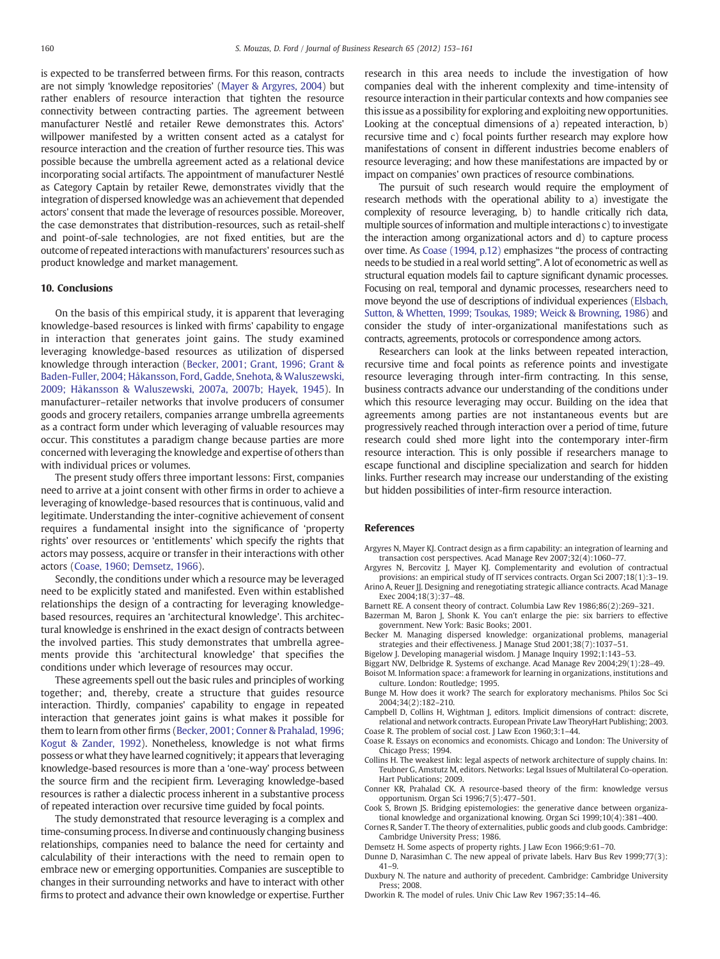<span id="page-7-0"></span>is expected to be transferred between firms. For this reason, contracts are not simply 'knowledge repositories' [\(Mayer & Argyres, 2004\)](#page-8-0) but rather enablers of resource interaction that tighten the resource connectivity between contracting parties. The agreement between manufacturer Nestlé and retailer Rewe demonstrates this. Actors' willpower manifested by a written consent acted as a catalyst for resource interaction and the creation of further resource ties. This was possible because the umbrella agreement acted as a relational device incorporating social artifacts. The appointment of manufacturer Nestlé as Category Captain by retailer Rewe, demonstrates vividly that the integration of dispersed knowledge was an achievement that depended actors' consent that made the leverage of resources possible. Moreover, the case demonstrates that distribution-resources, such as retail-shelf and point-of-sale technologies, are not fixed entities, but are the outcome of repeated interactions with manufacturers' resources such as product knowledge and market management.

#### 10. Conclusions

On the basis of this empirical study, it is apparent that leveraging knowledge-based resources is linked with firms' capability to engage in interaction that generates joint gains. The study examined leveraging knowledge-based resources as utilization of dispersed knowledge through interaction (Becker, 2001; Grant, 1996; Grant & Baden-Fuller, 2004; Håkansson, Ford, Gadde, Snehota, & Waluszewski, 2009; Håkansson & Waluszewski, 2007a, 2007b; Hayek, 1945). In manufacturer–retailer networks that involve producers of consumer goods and grocery retailers, companies arrange umbrella agreements as a contract form under which leveraging of valuable resources may occur. This constitutes a paradigm change because parties are more concerned with leveraging the knowledge and expertise of others than with individual prices or volumes.

The present study offers three important lessons: First, companies need to arrive at a joint consent with other firms in order to achieve a leveraging of knowledge-based resources that is continuous, valid and legitimate. Understanding the inter-cognitive achievement of consent requires a fundamental insight into the significance of 'property rights' over resources or 'entitlements' which specify the rights that actors may possess, acquire or transfer in their interactions with other actors (Coase, 1960; Demsetz, 1966).

Secondly, the conditions under which a resource may be leveraged need to be explicitly stated and manifested. Even within established relationships the design of a contracting for leveraging knowledgebased resources, requires an 'architectural knowledge'. This architectural knowledge is enshrined in the exact design of contracts between the involved parties. This study demonstrates that umbrella agreements provide this 'architectural knowledge' that specifies the conditions under which leverage of resources may occur.

These agreements spell out the basic rules and principles of working together; and, thereby, create a structure that guides resource interaction. Thirdly, companies' capability to engage in repeated interaction that generates joint gains is what makes it possible for them to learn from other firms (Becker, 2001; Conner & Prahalad, 1996; Kogut & Zander, 1992). Nonetheless, knowledge is not what firms possess or what they have learned cognitively; it appears that leveraging knowledge-based resources is more than a 'one-way' process between the source firm and the recipient firm. Leveraging knowledge-based resources is rather a dialectic process inherent in a substantive process of repeated interaction over recursive time guided by focal points.

The study demonstrated that resource leveraging is a complex and time-consuming process. In diverse and continuously changing business relationships, companies need to balance the need for certainty and calculability of their interactions with the need to remain open to embrace new or emerging opportunities. Companies are susceptible to changes in their surrounding networks and have to interact with other firms to protect and advance their own knowledge or expertise. Further research in this area needs to include the investigation of how companies deal with the inherent complexity and time-intensity of resource interaction in their particular contexts and how companies see this issue as a possibility for exploring and exploiting new opportunities. Looking at the conceptual dimensions of a) repeated interaction, b) recursive time and c) focal points further research may explore how manifestations of consent in different industries become enablers of resource leveraging; and how these manifestations are impacted by or impact on companies' own practices of resource combinations.

The pursuit of such research would require the employment of research methods with the operational ability to a) investigate the complexity of resource leveraging, b) to handle critically rich data, multiple sources of information and multiple interactions c) to investigate the interaction among organizational actors and d) to capture process over time. As Coase (1994, p.12) emphasizes "the process of contracting needs to be studied in a real world setting". A lot of econometric as well as structural equation models fail to capture significant dynamic processes. Focusing on real, temporal and dynamic processes, researchers need to move beyond the use of descriptions of individual experiences [\(Elsbach,](#page-8-0) [Sutton, & Whetten, 1999; Tsoukas, 1989; Weick & Browning, 1986\)](#page-8-0) and consider the study of inter-organizational manifestations such as contracts, agreements, protocols or correspondence among actors.

Researchers can look at the links between repeated interaction, recursive time and focal points as reference points and investigate resource leveraging through inter-firm contracting. In this sense, business contracts advance our understanding of the conditions under which this resource leveraging may occur. Building on the idea that agreements among parties are not instantaneous events but are progressively reached through interaction over a period of time, future research could shed more light into the contemporary inter-firm resource interaction. This is only possible if researchers manage to escape functional and discipline specialization and search for hidden links. Further research may increase our understanding of the existing but hidden possibilities of inter-firm resource interaction.

### References

- Argyres N, Mayer KJ. Contract design as a firm capability: an integration of learning and transaction cost perspectives. Acad Manage Rev 2007;32(4):1060–77.
- Argyres N, Bercovitz J, Mayer KJ. Complementarity and evolution of contractual provisions: an empirical study of IT services contracts. Organ Sci 2007;18(1):3–19.
- Arino A, Reuer JJ. Designing and renegotiating strategic alliance contracts. Acad Manage Exec 2004;18(3):37–48.
- Barnett RE. A consent theory of contract. Columbia Law Rev 1986;86(2):269–321.
- Bazerman M, Baron J, Shonk K. You can't enlarge the pie: six barriers to effective government. New York: Basic Books; 2001.
- Becker M. Managing dispersed knowledge: organizational problems, managerial strategies and their effectiveness. J Manage Stud 2001;38(7):1037–51.
- Bigelow J. Developing managerial wisdom. J Manage Inquiry 1992;1:143–53.
- Biggart NW, Delbridge R. Systems of exchange. Acad Manage Rev 2004;29(1):28–49. Boisot M. Information space: a framework for learning in organizations, institutions and culture. London: Routledge; 1995.
- Bunge M. How does it work? The search for exploratory mechanisms. Philos Soc Sci 2004;34(2):182–210.
- Campbell D, Collins H, Wightman J, editors. Implicit dimensions of contract: discrete, relational and network contracts. European Private Law TheoryHart Publishing; 2003. Coase R. The problem of social cost. J Law Econ 1960;3:1–44.
- Coase R. Essays on economics and economists. Chicago and London: The University of Chicago Press; 1994.
- Collins H. The weakest link: legal aspects of network architecture of supply chains. In: Teubner G, Amstutz M, editors. Networks: Legal Issues of Multilateral Co-operation. Hart Publications; 2009.
- Conner KR, Prahalad CK. A resource-based theory of the firm: knowledge versus opportunism. Organ Sci 1996;7(5):477–501.
- Cook S, Brown JS. Bridging epistemologies: the generative dance between organizational knowledge and organizational knowing. Organ Sci 1999;10(4):381–400.
- Cornes R, Sander T. The theory of externalities, public goods and club goods. Cambridge: Cambridge University Press; 1986.
- Demsetz H. Some aspects of property rights. J Law Econ 1966;9:61–70.
- Dunne D, Narasimhan C. The new appeal of private labels. Harv Bus Rev 1999;77(3):
- 41–9. Duxbury N. The nature and authority of precedent. Cambridge: Cambridge University Press; 2008.
- Dworkin R. The model of rules. Univ Chic Law Rev 1967;35:14–46.